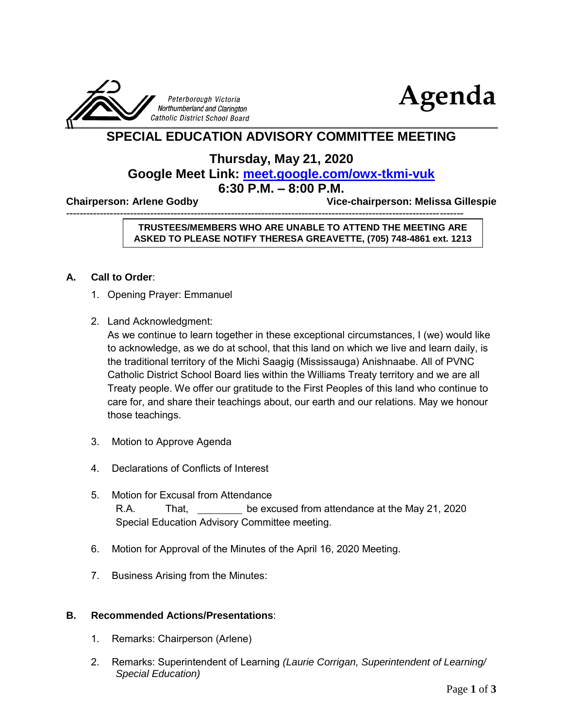



# **SPECIAL EDUCATION ADVISORY COMMITTEE MEETING**

## **Thursday, May 21, 2020 Google Meet Link: <meet.google.com/owx-tkmi-vuk> 6:30 P.M. – 8:00 P.M.**

**Chairperson: Arlene Godby Vice-chairperson: Melissa Gillespie** 

----------------------------------------------------------------------------------------------------------------------

#### **TRUSTEES/MEMBERS WHO ARE UNABLE TO ATTEND THE MEETING ARE ASKED TO PLEASE NOTIFY THERESA GREAVETTE, (705) 748-4861 ext. 1213**

#### **A. Call to Order**:

- 1. Opening Prayer: Emmanuel
- 2. Land Acknowledgment:

As we continue to learn together in these exceptional circumstances, I (we) would like to acknowledge, as we do at school, that this land on which we live and learn daily, is the traditional territory of the Michi Saagig (Mississauga) Anishnaabe. All of PVNC Catholic District School Board lies within the Williams Treaty territory and we are all Treaty people. We offer our gratitude to the First Peoples of this land who continue to care for, and share their teachings about, our earth and our relations. May we honour those teachings.

- 3. Motion to Approve Agenda
- 4. Declarations of Conflicts of Interest
- 5. Motion for Excusal from Attendance R.A. That, be excused from attendance at the May 21, 2020 Special Education Advisory Committee meeting.
- 6. Motion for Approval of the Minutes of the April 16, 2020 Meeting.
- 7. Business Arising from the Minutes:

#### **B. Recommended Actions/Presentations**:

- 1. Remarks: Chairperson (Arlene)
- 2. Remarks: Superintendent of Learning *(Laurie Corrigan, Superintendent of Learning/ Special Education)*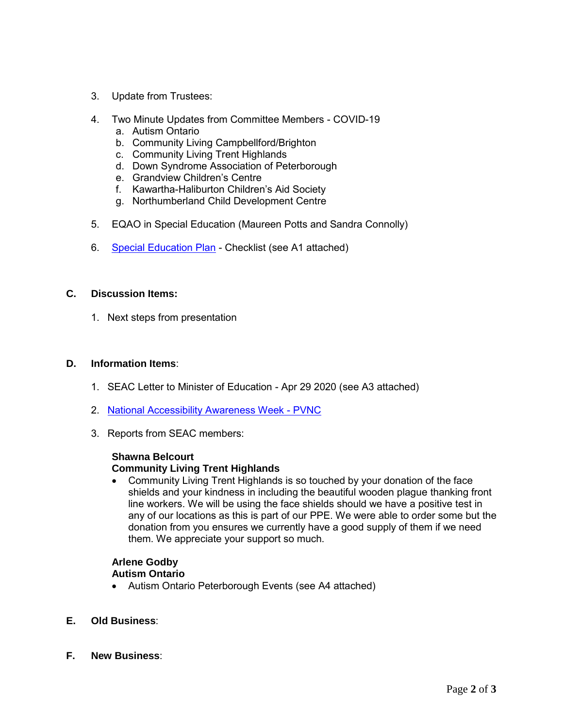- 3. Update from Trustees:
- 4. Two Minute Updates from Committee Members COVID-19
	- a. Autism Ontario
	- b. Community Living Campbellford/Brighton
	- c. Community Living Trent Highlands
	- d. Down Syndrome Association of Peterborough
	- e. Grandview Children's Centre
	- f. Kawartha-Haliburton Children's Aid Society
	- g. Northumberland Child Development Centre
- 5. EQAO in Special Education (Maureen Potts and Sandra Connolly)
- 6. [Special Education Plan](https://www.pvnccdsb.on.ca/wp-content/uploads/2019/06/SpecialEducationPlan.pdf) Checklist (see A1 attached)

#### **C. Discussion Items:**

1. Next steps from presentation

#### **D. Information Items**:

- 1. SEAC Letter to Minister of Education Apr 29 2020 (see A3 attached)
- 2. [National Accessibility Awareness Week -](https://docs.google.com/document/d/1yaefQWySGWdlJazjqznpfBNUcSqsL_Azbn1hLvp-bGA/edit) PVNC
- 3. Reports from SEAC members:

#### **Shawna Belcourt Community Living Trent Highlands**

 Community Living Trent Highlands is so touched by your donation of the face shields and your kindness in including the beautiful wooden plague thanking front line workers. We will be using the face shields should we have a positive test in any of our locations as this is part of our PPE. We were able to order some but the donation from you ensures we currently have a good supply of them if we need them. We appreciate your support so much.

#### **Arlene Godby Autism Ontario**

- Autism Ontario Peterborough Events (see A4 attached)
- **E. Old Business**:
- **F. New Business**: